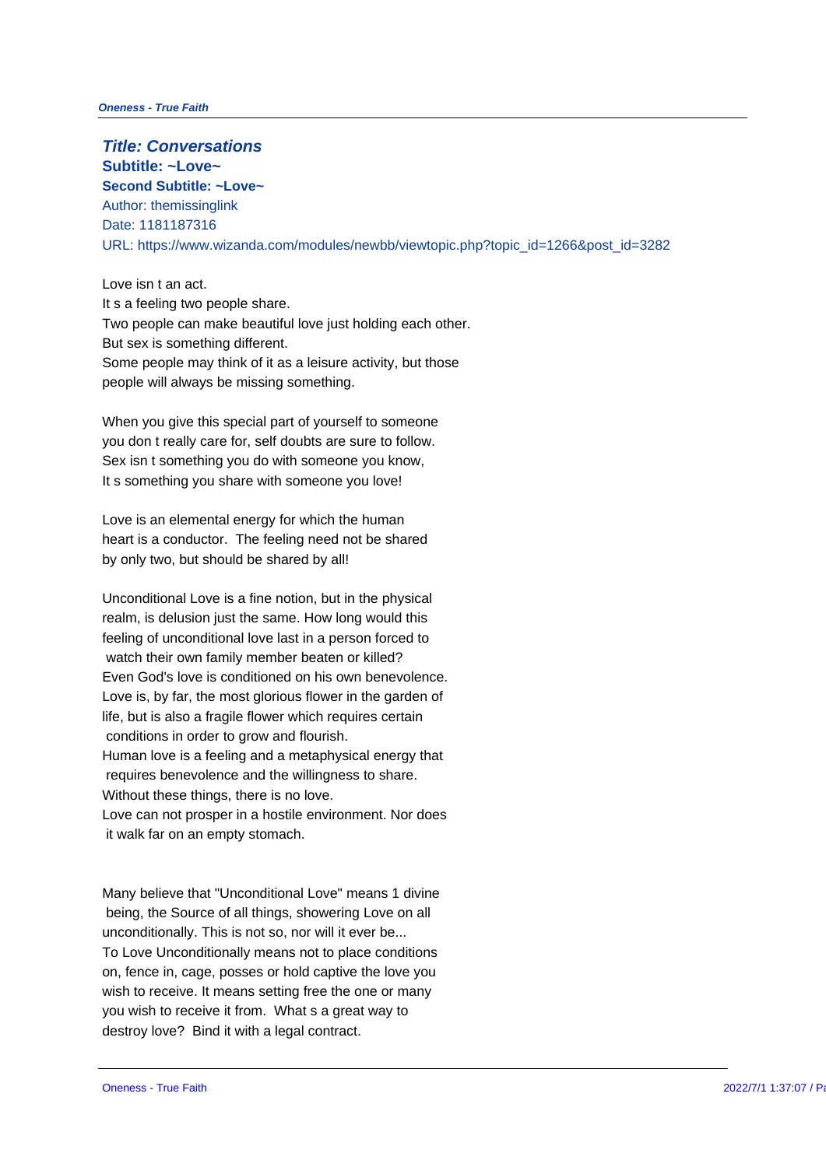**Title: Conversations Subtitle: ~Love~ Second Subtitle: ~Love~** Author: themissinglink Date: 1181187316 URL: https://www.wizanda.com/modules/newbb/viewtopic.php?topic\_id=1266

Love isn t an act. It s a feeling two people share. Two people can make beautiful love just holding each other. But sex is something different. Some people may think of it as a leisure activity, but those people will always be missing something.

When you give this special part of yourself to someone you don t really care for, self doubts are sure to follow. Sex isn t something you do with someone you know, It s something you share with someone you love!

Love is an elemental energy for which the human heart is a conductor. The feeling need not be shared by only two, but should be shared by all!

Unconditional Love is a fine notion, but in the physical realm, is delusion just the same. How long would this feeling of unconditional love last in a person forced to watch their own family member beaten or killed? Even God's love is conditioned on his own benevolence. Love is, by far, the most glorious flower in the garden of life, but is also a fragile flower which requires certain conditions in order to grow and flourish. Human love is a feeling and a metaphysical energy that requires benevolence and the willingness to share. Without these things, there is no love. Love can not prosper in a hostile environment. Nor does it walk far on an empty stomach.

Many believe that "Unconditional Love" means 1 divine being, the Source of all things, showering Love on all unconditionally. This is not so, nor will it ever be... To Love Unconditionally means not to place conditions on, fence in, cage, posses or hold captive the love you wish to receive. It means setting free the one or many you wish to receive it from. What s a great way to destroy love? Bind it with a legal contract.